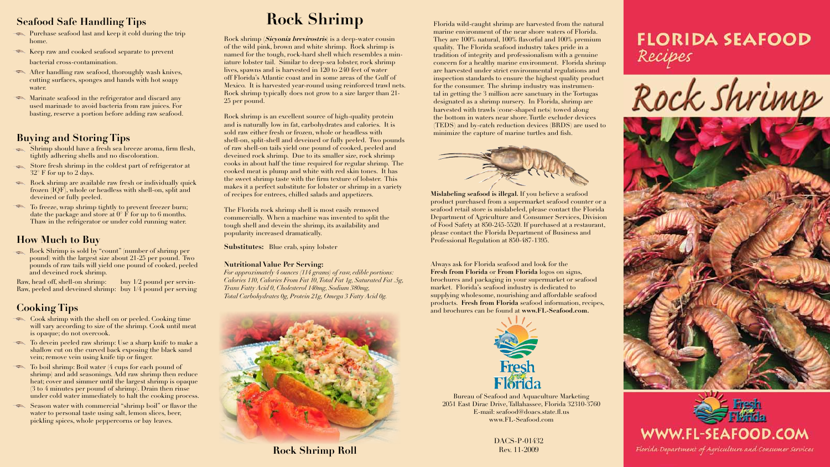**Mislabeling seafood is illegal.** If you believe a seafood product purchased from a supermarket seafood counter or a seafood retail store is mislabeled, please contact the Florida Department of Agriculture and Consumer Services, Division of Food Safety at 850-245-5520. If purchased at a restaurant, please contact the Florida Department of Business and Professional Regulation at 850-487-1395.

Always ask for Florida seafood and look for the **Fresh from Florida** or **From Florida** logos on signs, brochures and packaging in your supermarket or seafood market. Florida's seafood industry is dedicated to supplying wholesome, nourishing and affordable seafood products. **Fresh from Florida** seafood information, recipes, and brochures can be found at **www.FL-Seafood.com.**



Bureau of Seafood and Aquaculture Marketing 2051 East Dirac Drive,Tallahassee, Florida 32310-3760 E-mail: seafood@doacs.state.fl.us www.FL-Seafood.com

# **Rock Shrimp**

Rock shrimp **(Sicyonia brevirostris)** is a deep-water cousin of the wild pink, brown and white shrimp. Rock shrimp is named for the tough, rock-hard shell which resembles a miniature lobster tail. Similar to deep-sea lobster, rock shrimp lives, spawns and is harvested in 120 to 240 feet of water off Florida's Atlantic coast and in some areas of the Gulf of Mexico. It is harvested year-round using reinforced trawl nets. Rock shrimp typically does not grow to a size larger than 21- 25 per pound.

- Purchase seafood last and keep it cold during the trip home.
- Keep raw and cooked seafood separate to prevent bacterial cross-contamination.
- After handling raw seafood, thoroughly wash knives, cutting surfaces, sponges and hands with hot soapy water.
- Marinate seafood in the refrigerator and discard any used marinade to avoid bacteria from raw juices. For basting, reserve a portion before adding raw seafood.

Rock shrimp is an excellent source of high-quality protein and is naturally low in fat, carbohydrates and calories. It is sold raw either fresh or frozen, whole or headless with shell-on, split-shell and deveined or fully peeled. Two pounds of raw shell-on tails yield one pound of cooked, peeled and deveined rock shrimp. Due to its smaller size, rock shrimp cooks in about half the time required for regular shrimp. The cooked meat is plump and white with red skin tones. It has the sweet shrimp taste with the firm texture of lobster. This makes it a perfect substitute for lobster or shrimp in a variety of recipes for entrees, chilled salads and appetizers.

The Florida rock shrimp shell is most easily removed commercially. When a machine was invented to split the tough shell and devein the shrimp, its availability and popularity increased dramatically.

**Substitutes:** Blue crab, spiny lobster

#### **Nutritional Value Per Serving:**

- Cook shrimp with the shell on or peeled. Cooking time will vary according to size of the shrimp. Cook until meat is opaque; do not overcook.
- To devein peeled raw shrimp: Use a sharp knife to make a shallow cut on the curved back exposing the black sand vein; remove vein using knife tip or finger.
- To boil shrimp: Boil water (4 cups for each pound of shrimp) and add seasonings. Add raw shrimp then reduce heat; cover and simmer until the largest shrimp is opaque (3 to 4 minutes per pound of shrimp). Drain then rinse under cold water immediately to halt the cooking process.
- Season water with commercial "shrimp boil" or flavor the water to personal taste using salt, lemon slices, beer, pickling spices, whole peppercorns or bay leaves.

*For approximately 4 ounces (114 grams) of raw, edible portions: Calories 110, Calories From Fat 10, Total Fat 1g, Saturated Fat .5g, Trans Fatty Acid 0, Cholesterol 140mg, Sodium 380mg, Total Carbohydrates 0g, Protein 21g, Omega 3 Fatty Acid 0g.*



#### **Seafood Safe Handling Tips**

#### **Buying and Storing Tips**

- Shrimp should have a fresh sea breeze aroma, firm flesh, tightly adhering shells and no discoloration.
- Store fresh shrimp in the coldest part of refrigerator at 32° F for up to 2 days.
- Rock shrimp are available raw fresh or individually quick frozen (IQF), whole or headless with shell-on, split and deveined or fully peeled.
- To freeze, wrap shrimp tightly to prevent freezer burn; date the package and store at  $0^\circ$  F for up to 6 months. Thaw in the refrigerator or under cold running water.

#### **How Much to Buy**

 Rock Shrimp is sold by "count" (number of shrimp per pound) with the largest size about 21-25 per pound. Two pounds of raw tails will yield one pound of cooked, peeled and deveined rock shrimp.

Raw, head off, shell-on shrimp: buy 1/2 pound per servin-Raw, peeled and deveined shrimp: buy 1/4 pound per serving

### **Cooking Tips**

DACS-P-01432 Rev. 11-2009



## **FLORIDA SEAFOOD** Recipes

Rock Shrimp







Florida Department of Agriculture and Consumer Services

Florida wild-caught shrimp are harvested from the natural marine environment of the near shore waters of Florida. They are 100% natural, 100% flavorful and 100% premium quality. The Florida seafood industry takes pride in a tradition of integrity and professionalism with a genuine concern for a healthy marine environment. Florida shrimp are harvested under strict environmental regulations and inspection standards to ensure the highest quality product for the consumer. The shrimp industry was instrumental in getting the 3 million acre sanctuary in the Tortugas designated as a shrimp nursery. In Florida, shrimp are harvested with trawls (cone-shaped nets) towed along the bottom in waters near shore.Turtle excluder devices (TEDS) and by-catch reduction devices (BRDS) are used to minimize the capture of marine turtles and fish.



**Rock Shrimp Roll**